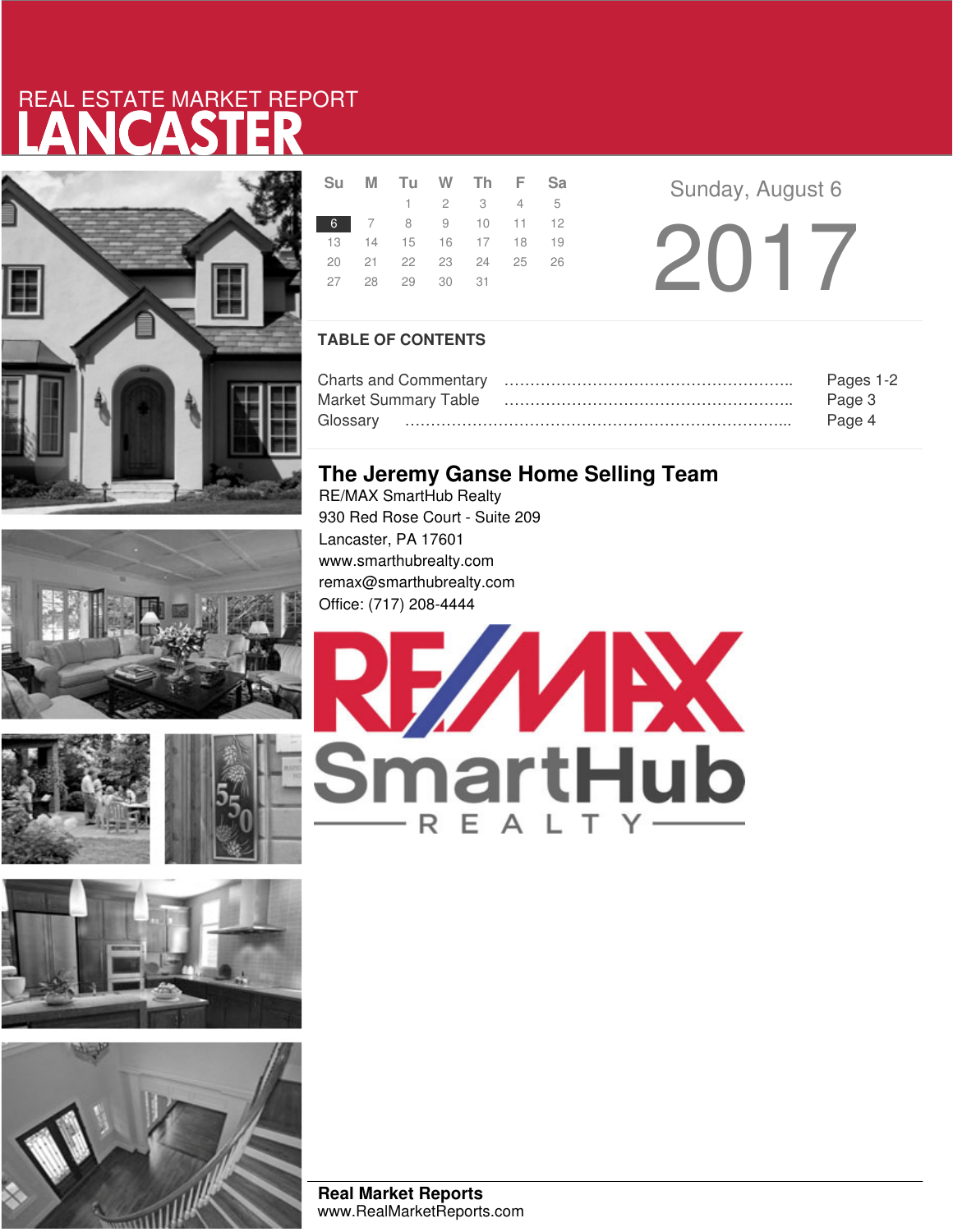# LANCASTER REAL ESTATE MARKET REPORT









|  |                            | Su M Tu W Th F Sa |                     |  |  |
|--|----------------------------|-------------------|---------------------|--|--|
|  |                            |                   | $1 \t2 \t3 \t4 \t5$ |  |  |
|  | 6 7 8 9 10 11 12           |                   |                     |  |  |
|  | 13 14 15 16 17 18 19       |                   |                     |  |  |
|  | 20  21  22  23  24  25  26 |                   |                     |  |  |
|  |                            |                   |                     |  |  |

**Sunday, August 6** 2017

### **TABLE OF CONTENTS**

|                      | Pages 1-2 |
|----------------------|-----------|
| Market Summary Table | Page 3    |
|                      | Page 4    |

## **The Jeremy Ganse Home Selling Team**

RE/MAX SmartHub Realty 930 Red Rose Court - Suite 209 Lancaster, PA 17601 www.smarthubrealty.com remax@smarthubrealty.com Office: (717) 208-4444



**Real Market Reports** www.RealMarketReports.com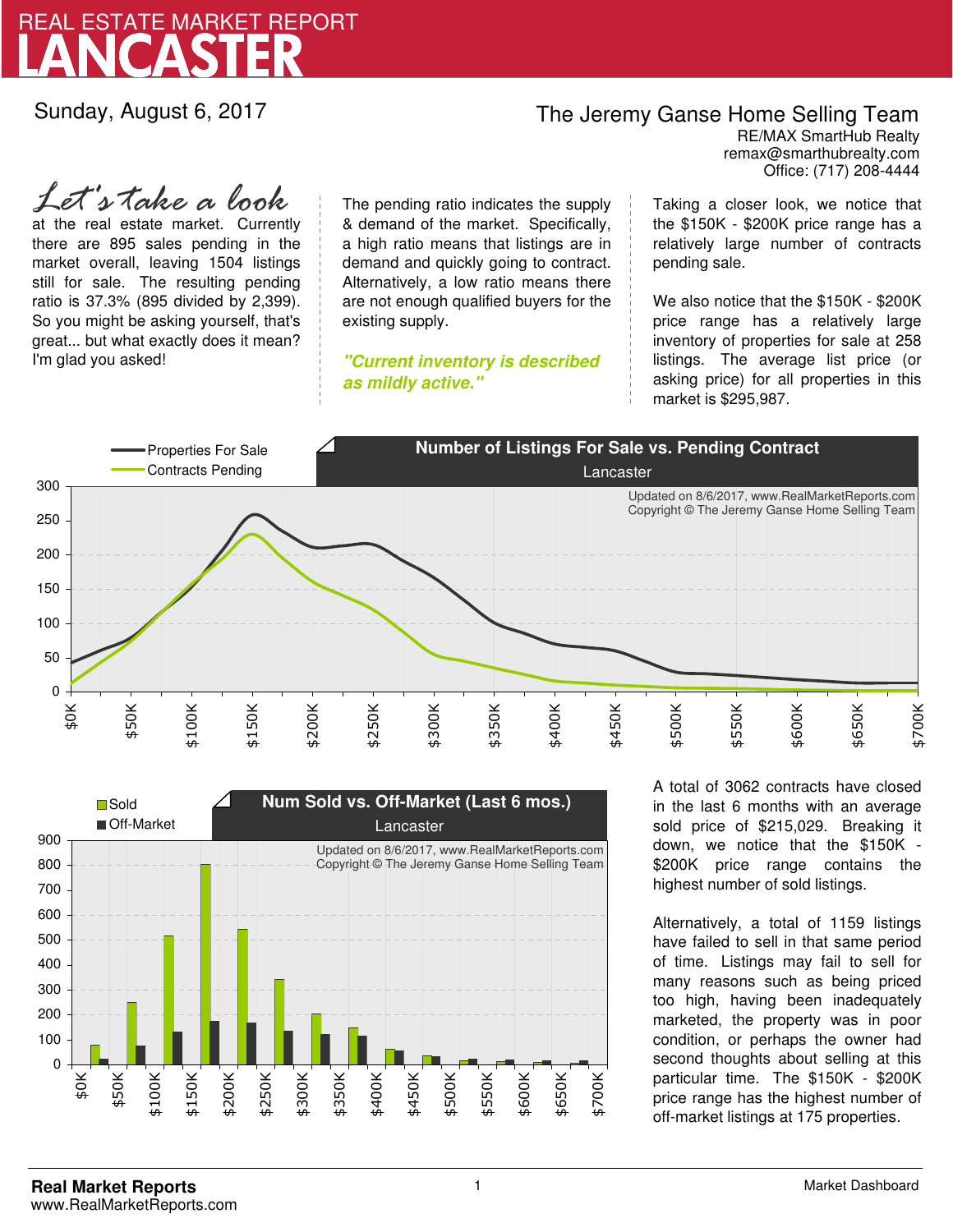

Sunday, August 6, 2017

## The Jeremy Ganse Home Selling Team

remax@smarthubrealty.com RE/MAX SmartHub Realty Office: (717) 208-4444

at the real estate market. Currently there are 895 sales pending in the market overall, leaving 1504 listings still for sale. The resulting pending ratio is 37.3% (895 divided by 2,399). So you might be asking yourself, that's great... but what exactly does it mean? I'm glad you asked! *Let's take a look*

The pending ratio indicates the supply & demand of the market. Specifically, a high ratio means that listings are in demand and quickly going to contract. Alternatively, a low ratio means there are not enough qualified buyers for the existing supply.

**"Current inventory is described as mildly active."**

Taking a closer look, we notice that the \$150K - \$200K price range has a relatively large number of contracts pending sale.

We also notice that the \$150K - \$200K price range has a relatively large inventory of properties for sale at 258 listings. The average list price (or asking price) for all properties in this market is \$295,987.





A total of 3062 contracts have closed in the last 6 months with an average sold price of \$215,029. Breaking it down, we notice that the \$150K - \$200K price range contains the highest number of sold listings.

Alternatively, a total of 1159 listings have failed to sell in that same period of time. Listings may fail to sell for many reasons such as being priced too high, having been inadequately marketed, the property was in poor condition, or perhaps the owner had second thoughts about selling at this particular time. The \$150K - \$200K price range has the highest number of off-market listings at 175 properties.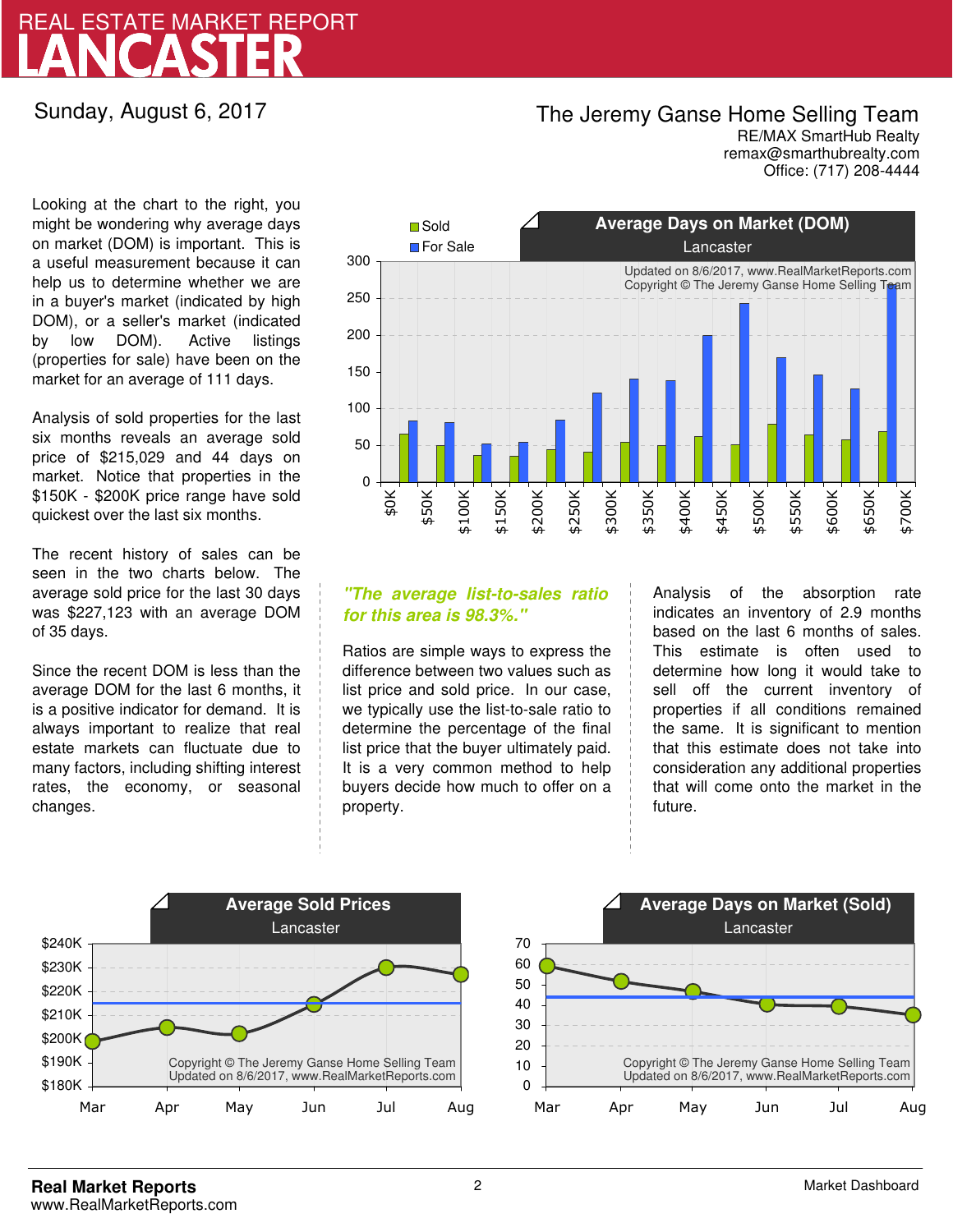# LANCASTER REAL ESTATE MARKET REPORT

### Sunday, August 6, 2017

## The Jeremy Ganse Home Selling Team

remax@smarthubrealty.com RE/MAX SmartHub Realty Office: (717) 208-4444

Looking at the chart to the right, you might be wondering why average days on market (DOM) is important. This is a useful measurement because it can help us to determine whether we are in a buyer's market (indicated by high DOM), or a seller's market (indicated by low DOM). Active listings (properties for sale) have been on the market for an average of 111 days.

Analysis of sold properties for the last six months reveals an average sold price of \$215,029 and 44 days on market. Notice that properties in the \$150K - \$200K price range have sold quickest over the last six months.

The recent history of sales can be seen in the two charts below. The average sold price for the last 30 days was \$227,123 with an average DOM of 35 days.

Since the recent DOM is less than the average DOM for the last 6 months, it is a positive indicator for demand. It is always important to realize that real estate markets can fluctuate due to many factors, including shifting interest rates, the economy, or seasonal changes.



### **"The average list-to-sales ratio for this area is 98.3%."**

Ratios are simple ways to express the difference between two values such as list price and sold price. In our case, we typically use the list-to-sale ratio to determine the percentage of the final list price that the buyer ultimately paid. It is a very common method to help buyers decide how much to offer on a property.

Analysis of the absorption rate indicates an inventory of 2.9 months based on the last 6 months of sales. This estimate is often used to determine how long it would take to sell off the current inventory of properties if all conditions remained the same. It is significant to mention that this estimate does not take into consideration any additional properties that will come onto the market in the future.



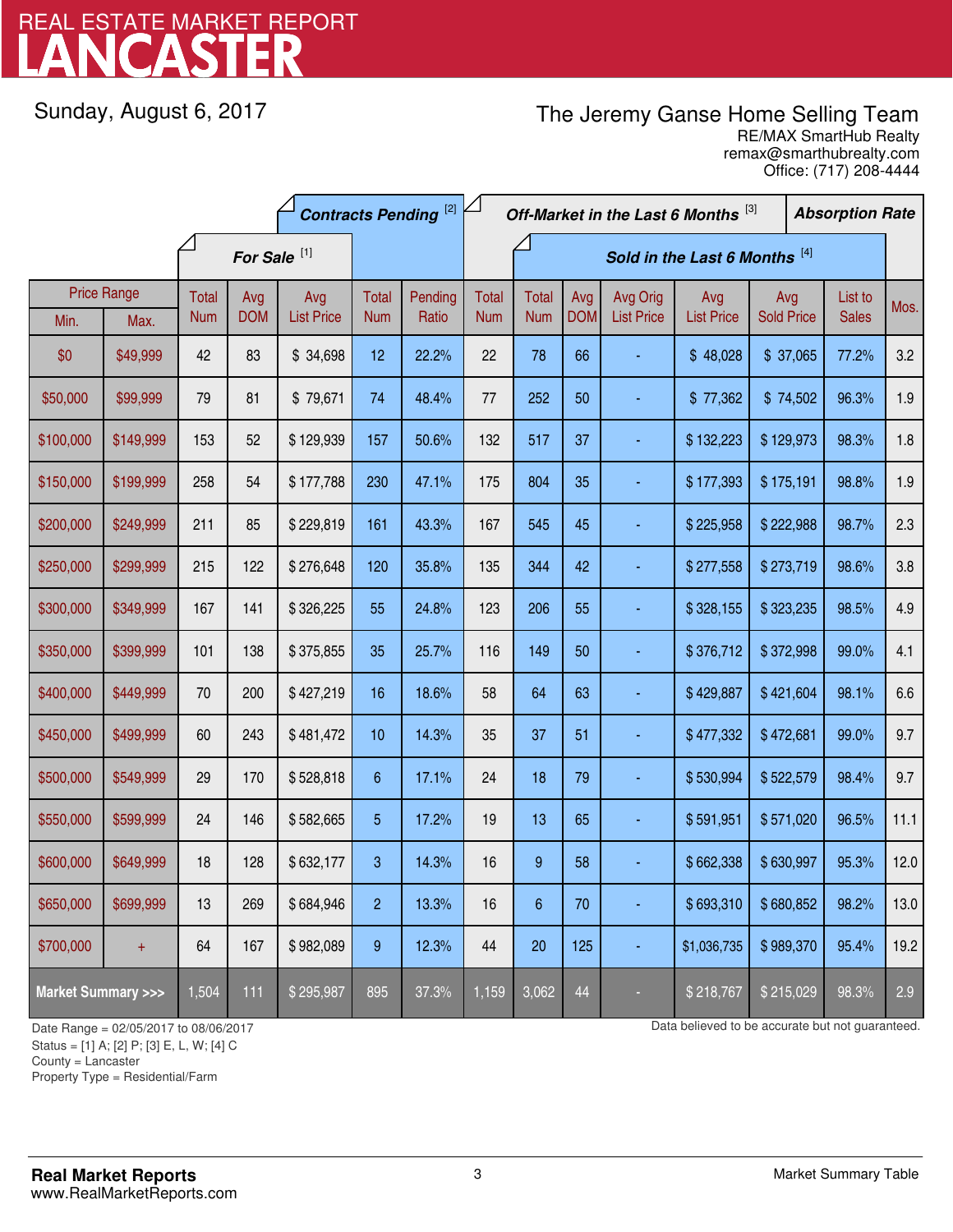# LANCASTER REAL ESTATE MARKET REPORT

Sunday, August 6, 2017

# The Jeremy Ganse Home Selling Team

remax@smarthubrealty.com RE/MAX SmartHub Realty Office: (717) 208-4444

| <b>Contracts Pending [2]</b>       |                    |                         |            |                   | Off-Market in the Last 6 Months [3]<br><b>Absorption Rate</b> |         |              |              |            |                   |                               |                   |  |              |      |
|------------------------------------|--------------------|-------------------------|------------|-------------------|---------------------------------------------------------------|---------|--------------|--------------|------------|-------------------|-------------------------------|-------------------|--|--------------|------|
|                                    |                    | For Sale <sup>[1]</sup> |            |                   |                                                               |         |              |              |            |                   | Sold in the Last 6 Months [4] |                   |  |              |      |
|                                    | <b>Price Range</b> | <b>Total</b>            | Avg        | Avg               | Total                                                         | Pending | <b>Total</b> | <b>Total</b> | Avg        | Avg Orig          | Avg                           | Avg               |  | List to      | Mos. |
| Min.                               | Max.               | <b>Num</b>              | <b>DOM</b> | <b>List Price</b> | <b>Num</b>                                                    | Ratio   | <b>Num</b>   | <b>Num</b>   | <b>DOM</b> | <b>List Price</b> | <b>List Price</b>             | <b>Sold Price</b> |  | <b>Sales</b> |      |
| \$0                                | \$49,999           | 42                      | 83         | \$34,698          | 12                                                            | 22.2%   | 22           | 78           | 66         |                   | \$48,028                      | \$37,065          |  | 77.2%        | 3.2  |
| \$50,000                           | \$99,999           | 79                      | 81         | \$79,671          | 74                                                            | 48.4%   | 77           | 252          | 50         |                   | \$77,362                      | \$74,502          |  | 96.3%        | 1.9  |
| \$100,000                          | \$149,999          | 153                     | 52         | \$129,939         | 157                                                           | 50.6%   | 132          | 517          | 37         |                   | \$132,223                     | \$129,973         |  | 98.3%        | 1.8  |
| \$150,000                          | \$199,999          | 258                     | 54         | \$177,788         | 230                                                           | 47.1%   | 175          | 804          | 35         |                   | \$177,393                     | \$175,191         |  | 98.8%        | 1.9  |
| \$200,000                          | \$249,999          | 211                     | 85         | \$229,819         | 161                                                           | 43.3%   | 167          | 545          | 45         |                   | \$225,958<br>\$222,988        |                   |  | 98.7%        | 2.3  |
| \$250,000                          | \$299,999          | 215                     | 122        | \$276,648         | 120                                                           | 35.8%   | 135          | 344          | 42         |                   | \$277,558                     | \$273,719         |  | 98.6%        | 3.8  |
| \$300,000                          | \$349,999          | 167                     | 141        | \$326,225         | 55                                                            | 24.8%   | 123          | 206          | 55         |                   | \$328,155                     | \$323,235         |  | 98.5%        | 4.9  |
| \$350,000                          | \$399,999          | 101                     | 138        | \$375,855         | 35                                                            | 25.7%   | 116          | 149          | 50         |                   | \$376,712                     | \$372,998         |  | 99.0%        | 4.1  |
| \$400,000                          | \$449,999          | 70                      | 200        | \$427,219         | 16                                                            | 18.6%   | 58           | 64           | 63         |                   | \$429,887                     | \$421,604         |  | 98.1%        | 6.6  |
| \$450,000                          | \$499,999          | 60                      | 243        | \$481,472         | 10                                                            | 14.3%   | 35           | 37           | 51         |                   | \$477,332                     | \$472,681         |  | 99.0%        | 9.7  |
| \$500,000                          | \$549,999          | 29                      | 170        | \$528,818         | $6\phantom{1}$                                                | 17.1%   | 24           | 18           | 79         |                   | \$530,994                     | \$522,579         |  | 98.4%        | 9.7  |
| \$550,000                          | \$599,999          | 24                      | 146        | \$582,665         | 5                                                             | 17.2%   | 19           | 13           | 65         |                   | \$591,951                     | \$571,020         |  | 96.5%        | 11.1 |
| \$600,000                          | \$649,999          | 18                      | 128        | \$632,177         | 3                                                             | 14.3%   | 16           | 9            | 58         |                   | \$662,338                     | \$630,997         |  | 95.3%        | 12.0 |
| \$650,000                          | \$699,999          | 13                      | 269        | \$684,946         | $\overline{2}$                                                | 13.3%   | 16           | 6            | 70         |                   | \$693,310                     | \$680,852         |  | 98.2%        | 13.0 |
| \$700,000                          | $\ddot{}$          | 64                      | 167        | \$982,089         | 9                                                             | 12.3%   | 44           | 20           | 125        | ٠                 | \$1,036,735                   | \$989,370         |  | 95.4%        | 19.2 |
| <b>Market Summary &gt;&gt;&gt;</b> |                    | 1,504                   | 111        | \$295,987         | 895                                                           | 37.3%   | 1,159        | 3,062        | 44         |                   | \$218,767                     | \$215,029         |  | 98.3%        | 2.9  |

Status = [1] A; [2] P; [3] E, L, W; [4] C

County = Lancaster

1

Property Type = Residential/Farm

Date Range = 02/05/2017 to 08/06/2017 **Data believed to be accurate but not guaranteed.**